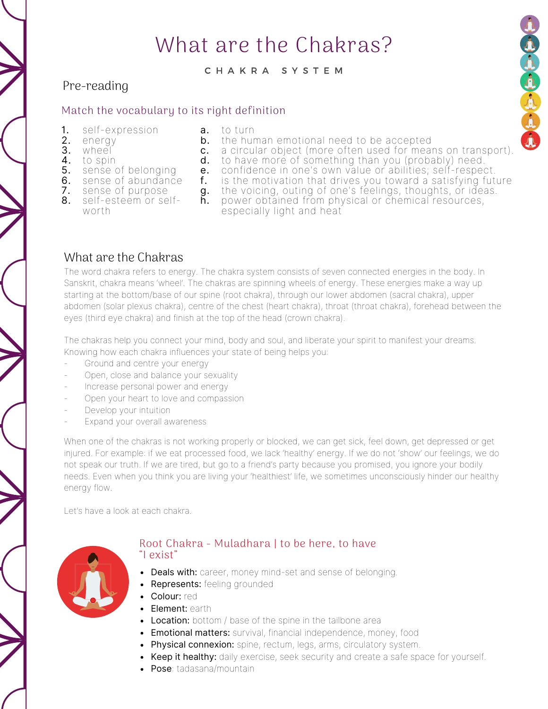# What are the Chakras?

#### C H A K R A S Y S T E M

to turn

a.

c.

### Pre-reading

#### Match the vocabulary to its right definition

- self-expression 1.
- 2. energy
- wheel 3.
- **4.** to spin
- **5.** sense of belonging
- **6.** sense of abundance
- **7.** sense of purpose
- ${\sf f.}$  is the motivation that drives you toward a satisfying future  ${\bf g}.$  the voicing, outing of one's feelings, thoughts, or ideas.

**b.** the human emotional need to be accepted

- **8.** self-esteem or selfworth
- **h.** power obtained from physical or chemical resources, especially light and heat

**d.** to have more of something than you (probably) need. **e.** confidence in one's own value or abilities; self-respect.

a circular object (more often used for means on transport).

## What are the Chakras

The word chakra refers to energy. The chakra system consists of seven connected energies in the body. In Sanskrit, chakra means 'wheel'. The chakras are spinning wheels of energy. These energies make a way up starting at the bottom/base of our spine (root chakra), through our lower abdomen (sacral chakra), upper abdomen (solar plexus chakra), centre of the chest (heart chakra), throat (throat chakra), forehead between the eyes (third eye chakra) and finish at the top of the head (crown chakra).

The chakras help you connect your mind, body and soul, and liberate your spirit to manifest your dreams. Knowing how each chakra influences your state of being helps you:

- Ground and centre your energy
- Open, close and balance your sexuality
- Increase personal power and energy
- Open your heart to love and compassion
- Develop your intuition
- Expand your overall awareness

When one of the chakras is not working properly or blocked, we can get sick, feel down, get depressed or get injured. For example: if we eat processed food, we lack 'healthy' energy. If we do not 'show' our feelings, we do not speak our truth. If we are tired, but go to a friend's party because you promised, you ignore your bodily needs. Even when you think you are living your 'healthiest' life, we sometimes unconsciously hinder our healthy energy flow.

Let's have a look at each chakra.



#### Root Chakra - Muladhara | to be here, to have "I exist"

- Deals with: career, money mind-set and sense of belonging.
- Represents: feeling grounded
- Colour: red
- Element: earth
- **Location:** bottom / base of the spine in the tailbone area
- **Emotional matters:** survival, financial independence, money, food
- Physical connexion: spine, rectum, legs, arms, circulatory system.
- Keep it healthy: daily exercise, seek security and create a safe space for yourself.
- Pose: tadasana/mountain

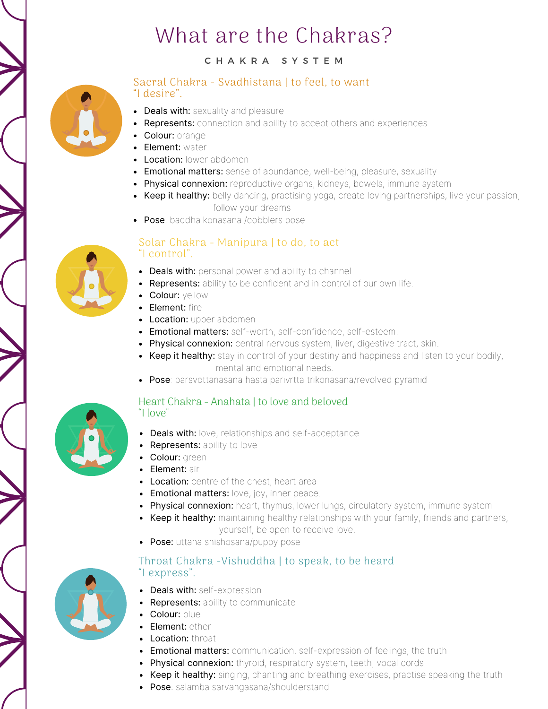# What are the Chakras?

### C H A K R A S Y S T E M



#### Sacral Chakra - Svadhistana | to feel, to want "I desire".

- Deals with: sexuality and pleasure
- Represents: connection and ability to accept others and experiences
- Colour: orange
- **Element: water**
- Location: lower abdomen
- **Emotional matters:** sense of abundance, well-being, pleasure, sexuality
- Physical connexion: reproductive organs, kidneys, bowels, immune system
- Keep it healthy: belly dancing, practising yoga, create loving partnerships, live your passion, follow your dreams
- Pose: baddha konasana /cobblers pose

### Solar Chakra - Manipura | to do, to act "I control".

- Deals with: personal power and ability to channel
- Represents: ability to be confident and in control of our own life.
- Colour: vellow
- Element: fire
- **Location:** upper abdomen
- **Emotional matters:** self-worth, self-confidence, self-esteem.
- Physical connexion: central nervous system, liver, digestive tract, skin.
- Keep it healthy: stay in control of your destiny and happiness and listen to your bodily, mental and emotional needs.
- Pose: parsvottanasana hasta parivrtta trikonasana/revolved pyramid



#### Heart Chakra - Anahata | to love and beloved "I love"

- Deals with: love, relationships and self-acceptance
- Represents: ability to love
- Colour: green
- Flement: air
- Location: centre of the chest, heart area
- **Emotional matters:** love, joy, inner peace.
- Physical connexion: heart, thymus, lower lungs, circulatory system, immune system
- Keep it healthy: maintaining healthy relationships with your family, friends and partners, yourself, be open to receive love.
- Pose: uttana shishosana/puppy pose

#### Throat Chakra -Vishuddha | to speak, to be heard "I express".

- Deals with: self-expression
- Represents: ability to communicate
- Colour: blue
- **Element:** ether
- Location: throat
- **Emotional matters:** communication, self-expression of feelings, the truth
- Physical connexion: thyroid, respiratory system, teeth, vocal cords
- Keep it healthy: singing, chanting and breathing exercises, practise speaking the truth
- Pose: salamba sarvangasana/shoulderstand